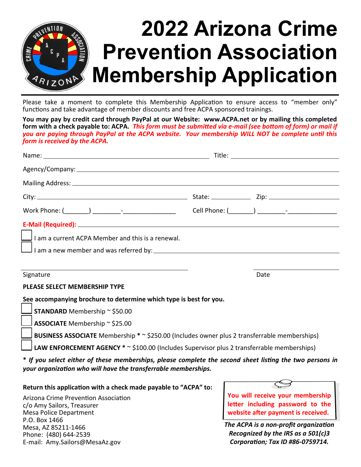

Please take a moment to complete this Membership Application to ensure access to "member only" functions and take advantage of member discounts and free ACPA sponsored trainings.

**You may pay by credit card through PayPal at our Website: www.ACPA.net or by mailing this completed form with a check payable to: ACPA.** *This form must be submitted via e-mail (see bottom of form) or mail if you are paying through PayPal at the ACPA website. Your membership WILL NOT be complete until this form is received by the ACPA.*

| $\Box$ I am a current ACPA Member and this is a renewal.                                                                                                                   |  |      |  |
|----------------------------------------------------------------------------------------------------------------------------------------------------------------------------|--|------|--|
|                                                                                                                                                                            |  |      |  |
|                                                                                                                                                                            |  |      |  |
| Signature                                                                                                                                                                  |  | Date |  |
| <b>PLEASE SELECT MEMBERSHIP TYPE</b>                                                                                                                                       |  |      |  |
| See accompanying brochure to determine which type is best for you.                                                                                                         |  |      |  |
| $\Box$ STANDARD Membership ~ \$50.00                                                                                                                                       |  |      |  |
| $\Box$ ASSOCIATE Membership ~ \$25.00                                                                                                                                      |  |      |  |
| <b>BUSINESS ASSOCIATE</b> Membership * $\sim$ \$250.00 (Includes owner plus 2 transferrable memberships)                                                                   |  |      |  |
| <b>LAW ENFORCEMENT AGENCY</b> $* \sim$ \$100.00 (Includes Supervisor plus 2 transferrable memberships)                                                                     |  |      |  |
| * If you select either of these memberships, please complete the second sheet listing the two persons in<br>your organization who will have the transferrable memberships. |  |      |  |

**Return this application with a check made payable to "ACPA" to:**

Arizona Crime Prevention Association c/o Amy Sailors, Treasurer Mesa Police Department P.O. Box 1466 Mesa, AZ 85211-1466 Phone: (480) 644-2539 E-mail: Amy.Sailors@MesaAz.gov



**website after payment is received.**

*The ACPA is a non-profit organization Recognized by the IRS as a 501(c)3 Corporation; Tax ID #86-0759714.*